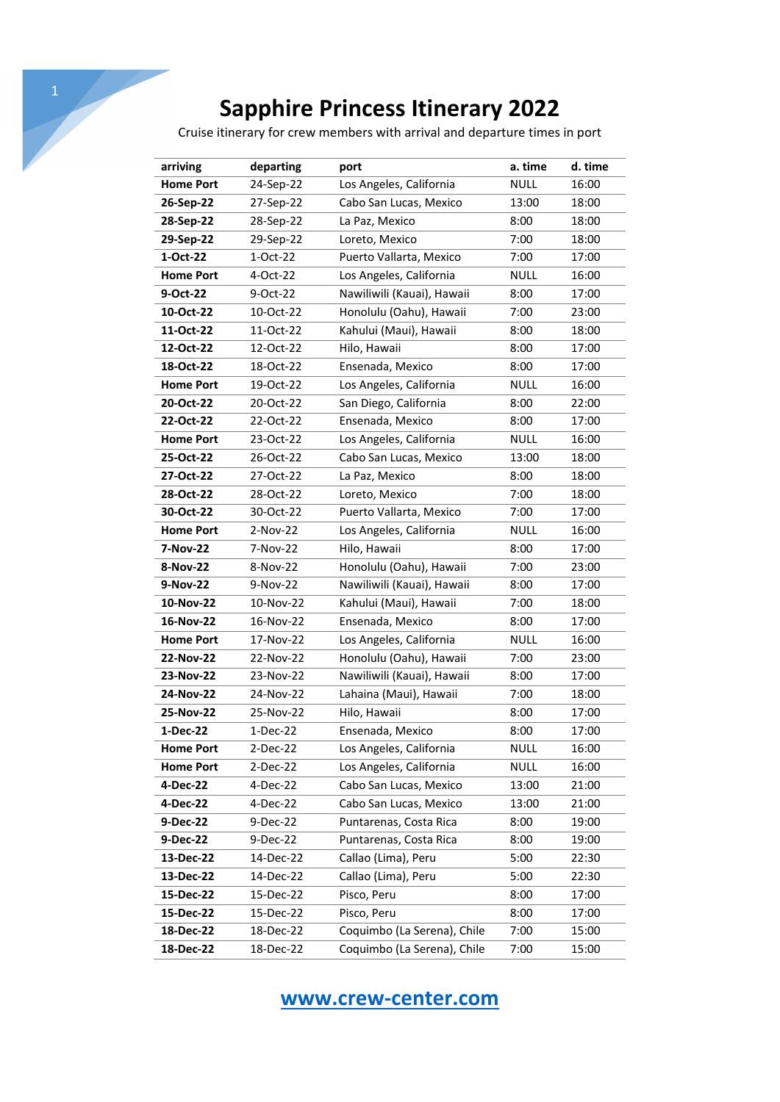## **Sapphire Princess Itinerary 2022**

Cruise itinerary for crew members with arrival and departure times in port

| arriving         | departing | port                        | a. time     | d. time |
|------------------|-----------|-----------------------------|-------------|---------|
| <b>Home Port</b> | 24-Sep-22 | Los Angeles, California     | <b>NULL</b> | 16:00   |
| 26-Sep-22        | 27-Sep-22 | Cabo San Lucas, Mexico      | 13:00       | 18:00   |
| 28-Sep-22        | 28-Sep-22 | La Paz, Mexico              | 8:00        | 18:00   |
| 29-Sep-22        | 29-Sep-22 | Loreto, Mexico              | 7:00        | 18:00   |
| 1-Oct-22         | 1-Oct-22  | Puerto Vallarta, Mexico     | 7:00        | 17:00   |
| <b>Home Port</b> | 4-Oct-22  | Los Angeles, California     | <b>NULL</b> | 16:00   |
| 9-Oct-22         | 9-Oct-22  | Nawiliwili (Kauai), Hawaii  | 8:00        | 17:00   |
| 10-Oct-22        | 10-Oct-22 | Honolulu (Oahu), Hawaii     | 7:00        | 23:00   |
| 11-Oct-22        | 11-Oct-22 | Kahului (Maui), Hawaii      | 8:00        | 18:00   |
| 12-Oct-22        | 12-Oct-22 | Hilo, Hawaii                | 8:00        | 17:00   |
| 18-Oct-22        | 18-Oct-22 | Ensenada, Mexico            | 8:00        | 17:00   |
| <b>Home Port</b> | 19-Oct-22 | Los Angeles, California     | <b>NULL</b> | 16:00   |
| 20-Oct-22        | 20-Oct-22 | San Diego, California       | 8:00        | 22:00   |
| 22-Oct-22        | 22-Oct-22 | Ensenada, Mexico            | 8:00        | 17:00   |
| <b>Home Port</b> | 23-Oct-22 | Los Angeles, California     | <b>NULL</b> | 16:00   |
| 25-Oct-22        | 26-Oct-22 | Cabo San Lucas, Mexico      | 13:00       | 18:00   |
| 27-Oct-22        | 27-Oct-22 | La Paz, Mexico              | 8:00        | 18:00   |
| 28-Oct-22        | 28-Oct-22 | Loreto, Mexico              | 7:00        | 18:00   |
| 30-Oct-22        | 30-Oct-22 | Puerto Vallarta, Mexico     | 7:00        | 17:00   |
| <b>Home Port</b> | 2-Nov-22  | Los Angeles, California     | NULL        | 16:00   |
| 7-Nov-22         | 7-Nov-22  | Hilo, Hawaii                | 8:00        | 17:00   |
| 8-Nov-22         | 8-Nov-22  | Honolulu (Oahu), Hawaii     | 7:00        | 23:00   |
| 9-Nov-22         | 9-Nov-22  | Nawiliwili (Kauai), Hawaii  | 8:00        | 17:00   |
| 10-Nov-22        | 10-Nov-22 | Kahului (Maui), Hawaii      | 7:00        | 18:00   |
| 16-Nov-22        | 16-Nov-22 | Ensenada, Mexico            | 8:00        | 17:00   |
| <b>Home Port</b> | 17-Nov-22 | Los Angeles, California     | <b>NULL</b> | 16:00   |
| 22-Nov-22        | 22-Nov-22 | Honolulu (Oahu), Hawaii     | 7:00        | 23:00   |
| 23-Nov-22        | 23-Nov-22 | Nawiliwili (Kauai), Hawaii  | 8:00        | 17:00   |
| 24-Nov-22        | 24-Nov-22 | Lahaina (Maui), Hawaii      | 7:00        | 18:00   |
| 25-Nov-22        | 25-Nov-22 | Hilo, Hawaii                | 8:00        | 17:00   |
| 1-Dec-22         | 1-Dec-22  | Ensenada, Mexico            | 8:00        | 17:00   |
| <b>Home Port</b> | 2-Dec-22  | Los Angeles, California     | <b>NULL</b> | 16:00   |
| <b>Home Port</b> | 2-Dec-22  | Los Angeles, California     | <b>NULL</b> | 16:00   |
| 4-Dec-22         | 4-Dec-22  | Cabo San Lucas, Mexico      | 13:00       | 21:00   |
| 4-Dec-22         | 4-Dec-22  | Cabo San Lucas, Mexico      | 13:00       | 21:00   |
| 9-Dec-22         | 9-Dec-22  | Puntarenas, Costa Rica      | 8:00        | 19:00   |
| 9-Dec-22         | 9-Dec-22  | Puntarenas, Costa Rica      | 8:00        | 19:00   |
| 13-Dec-22        | 14-Dec-22 | Callao (Lima), Peru         | 5:00        | 22:30   |
| 13-Dec-22        | 14-Dec-22 | Callao (Lima), Peru         | 5:00        | 22:30   |
| 15-Dec-22        | 15-Dec-22 | Pisco, Peru                 | 8:00        | 17:00   |
| 15-Dec-22        | 15-Dec-22 | Pisco, Peru                 | 8:00        | 17:00   |
| 18-Dec-22        | 18-Dec-22 | Coquimbo (La Serena), Chile | 7:00        | 15:00   |
| 18-Dec-22        | 18-Dec-22 | Coquimbo (La Serena), Chile | 7:00        | 15:00   |

## **www.crew-center.com**